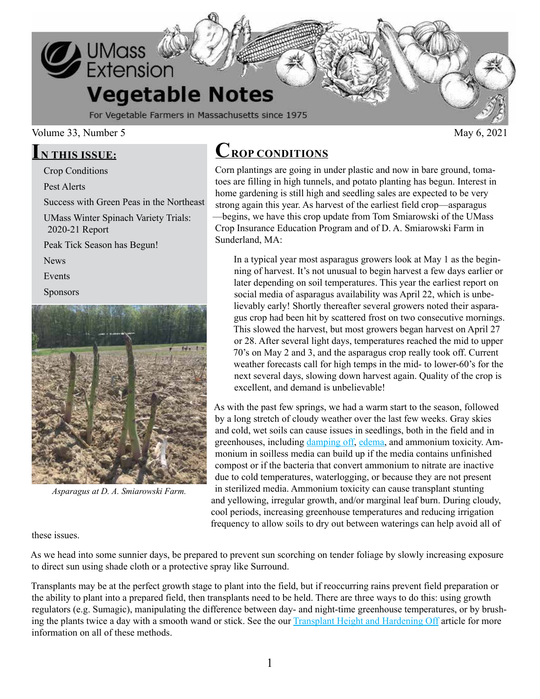

### Volume 33, Number 5  $\mu$  May 6, 2021

### **IN THIS ISSUE:**

Crop Conditions

Pest Alerts

Success with Green Peas in the Northeast

UMass Winter Spinach Variety Trials: 2020-21 Report

Peak Tick Season has Begun!

News

Events

Sponsors



*Asparagus at D. A. Smiarowski Farm.*

## **CROP CONDITIONS**

Corn plantings are going in under plastic and now in bare ground, tomatoes are filling in high tunnels, and potato planting has begun. Interest in home gardening is still high and seedling sales are expected to be very strong again this year. As harvest of the earliest field crop—asparagus —begins, we have this crop update from Tom Smiarowski of the UMass Crop Insurance Education Program and of D. A. Smiarowski Farm in Sunderland, MA:

In a typical year most asparagus growers look at May 1 as the beginning of harvest. It's not unusual to begin harvest a few days earlier or later depending on soil temperatures. This year the earliest report on social media of asparagus availability was April 22, which is unbelievably early! Shortly thereafter several growers noted their asparagus crop had been hit by scattered frost on two consecutive mornings. This slowed the harvest, but most growers began harvest on April 27 or 28. After several light days, temperatures reached the mid to upper 70's on May 2 and 3, and the asparagus crop really took off. Current weather forecasts call for high temps in the mid- to lower-60's for the next several days, slowing down harvest again. Quality of the crop is excellent, and demand is unbelievable!

As with the past few springs, we had a warm start to the season, followed by a long stretch of cloudy weather over the last few weeks. Gray skies and cold, wet soils can cause issues in seedlings, both in the field and in greenhouses, including [damping off,](https://ag.umass.edu/sites/ag.umass.edu/files/newsletters/april_9_2020_vegetable_notes.pdf) [edema,](https://ag.umass.edu/greenhouse-floriculture/fact-sheets/edema-intumescence) and ammonium toxicity. Ammonium in soilless media can build up if the media contains unfinished compost or if the bacteria that convert ammonium to nitrate are inactive due to cold temperatures, waterlogging, or because they are not present in sterilized media. Ammonium toxicity can cause transplant stunting and yellowing, irregular growth, and/or marginal leaf burn. During cloudy, cool periods, increasing greenhouse temperatures and reducing irrigation frequency to allow soils to dry out between waterings can help avoid all of

these issues.

As we head into some sunnier days, be prepared to prevent sun scorching on tender foliage by slowly increasing exposure to direct sun using shade cloth or a protective spray like Surround.

Transplants may be at the perfect growth stage to plant into the field, but if reoccurring rains prevent field preparation or the ability to plant into a prepared field, then transplants need to be held. There are three ways to do this: using growth regulators (e.g. Sumagic), manipulating the difference between day- and night-time greenhouse temperatures, or by brush-ing the plants twice a day with a smooth wand or stick. See the our [Transplant Height and Hardening Off](https://ag.umass.edu/sites/ag.umass.edu/files/newsletters/may_9_2019_vegetable_notes_0.pdf) article for more information on all of these methods.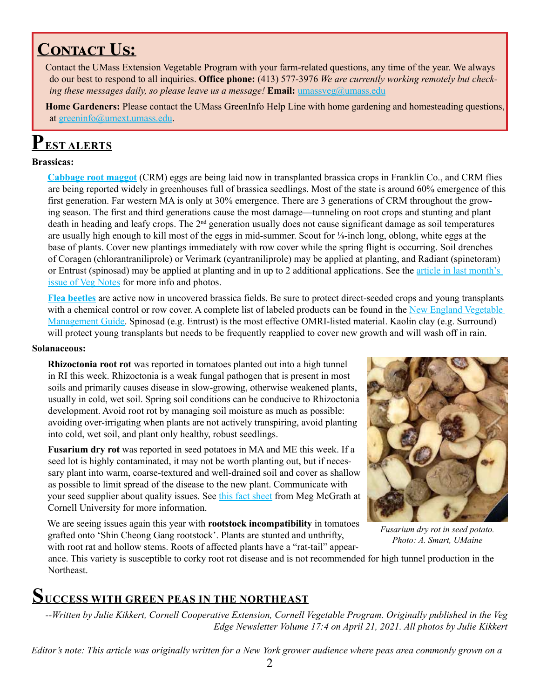## **CONTACT US:**

Contact the UMass Extension Vegetable Program with your farm-related questions, any time of the year. We always do our best to respond to all inquiries. **Office phone:** (413) 577-3976 *We are currently working remotely but checking these messages daily, so please leave us a message!* **Email:** [umassveg@umass.edu](mailto:umassveg%40umass.edu?subject=)

**Home Gardeners:** Please contact the UMass GreenInfo Help Line with home gardening and homesteading questions, at [greeninfo@umext.umass.edu](mailto:greeninfo@umext.umass.edu).

# **PEST ALERTS**

### **Brassicas:**

**[Cabbage root maggot](https://ag.umass.edu/fact-sheets/cabbage-root-maggot)** (CRM) eggs are being laid now in transplanted brassica crops in Franklin Co., and CRM flies are being reported widely in greenhouses full of brassica seedlings. Most of the state is around 60% emergence of this first generation. Far western MA is only at 30% emergence. There are 3 generations of CRM throughout the growing season. The first and third generations cause the most damage—tunneling on root crops and stunting and plant death in heading and leafy crops. The  $2<sup>nd</sup>$  generation usually does not cause significant damage as soil temperatures are usually high enough to kill most of the eggs in mid-summer. Scout for ⅛-inch long, oblong, white eggs at the base of plants. Cover new plantings immediately with row cover while the spring flight is occurring. Soil drenches of Coragen (chlorantraniliprole) or Verimark (cyantraniliprole) may be applied at planting, and Radiant (spinetoram) or Entrust (spinosad) may be applied at planting and in up to 2 additional applications. See the [article in last month's](https://ag.umass.edu/sites/ag.umass.edu/files/newsletters/april_15_2021_vegetable_notes_0.pdf)  [issue of Veg Notes](https://ag.umass.edu/sites/ag.umass.edu/files/newsletters/april_15_2021_vegetable_notes_0.pdf) for more info and photos.

**[Flea beetles](https://ag.umass.edu/fact-sheets/flea-beetle-crucifer)** are active now in uncovered brassica fields. Be sure to protect direct-seeded crops and young transplants with a chemical control or row cover. A complete list of labeled products can be found in the New England Vegetable [Management Guide](https://nevegetable.org/crops/disease-control-23). Spinosad (e.g. Entrust) is the most effective OMRI-listed material. Kaolin clay (e.g. Surround) will protect young transplants but needs to be frequently reapplied to cover new growth and will wash off in rain.

### **Solanaceous:**

**Rhizoctonia root rot** was reported in tomatoes planted out into a high tunnel in RI this week. Rhizoctonia is a weak fungal pathogen that is present in most soils and primarily causes disease in slow-growing, otherwise weakened plants, usually in cold, wet soil. Spring soil conditions can be conducive to Rhizoctonia development. Avoid root rot by managing soil moisture as much as possible: avoiding over-irrigating when plants are not actively transpiring, avoid planting into cold, wet soil, and plant only healthy, robust seedlings.

**Fusarium dry rot** was reported in seed potatoes in MA and ME this week. If a seed lot is highly contaminated, it may not be worth planting out, but if necessary plant into warm, coarse-textured and well-drained soil and cover as shallow as possible to limit spread of the disease to the new plant. Communicate with your seed supplier about quality issues. See [this fact sheet](https://www.vegetables.cornell.edu/pest-management/disease-factsheets/fusarium-dry-rot-of-potato/) from Meg McGrath at Cornell University for more information.

We are seeing issues again this year with **rootstock incompatibility** in tomatoes grafted onto 'Shin Cheong Gang rootstock'. Plants are stunted and unthrifty, with root rat and hollow stems. Roots of affected plants have a "rat-tail" appear-



*Fusarium dry rot in seed potato. Photo: A. Smart, UMaine*

ance. This variety is susceptible to corky root rot disease and is not recommended for high tunnel production in the Northeast.

### **SUCCESS WITH GREEN PEAS IN THE NORTHEAST**

*--Written by Julie Kikkert, Cornell Cooperative Extension, Cornell Vegetable Program. Originally published in the Veg Edge Newsletter Volume 17:4 on April 21, 2021. All photos by Julie Kikkert*

*Editor's note: This article was originally written for a New York grower audience where peas area commonly grown on a*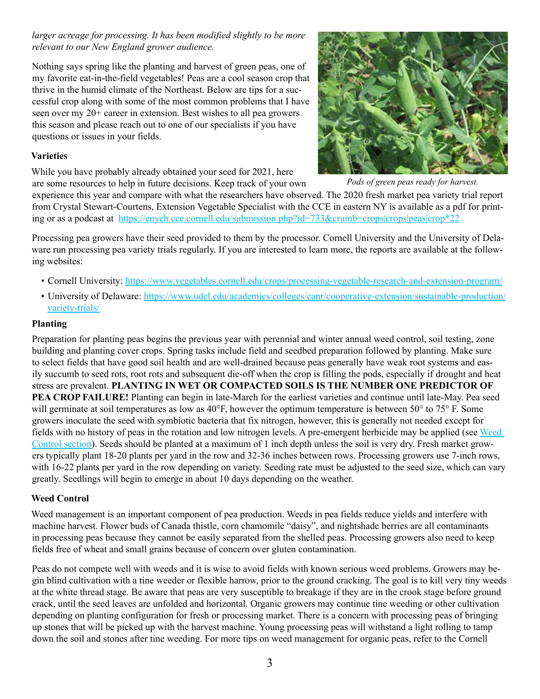*larger acreage for processing. It has been modified slightly to be more relevant to our New England grower audience.* 

Nothing says spring like the planting and harvest of green peas, one of my favorite eat-in-the-field vegetables! Peas are a cool season crop that thrive in the humid climate of the Northeast. Below are tips for a successful crop along with some of the most common problems that I have seen over my 20+ career in extension. Best wishes to all pea growers this season and please reach out to one of our specialists if you have questions or issues in your fields.

### **Varieties**

While you have probably already obtained your seed for 2021, here are some resources to help in future decisions. Keep track of your own



*Pods of green peas ready for harvest.*

experience this year and compare with what the researchers have observed. The 2020 fresh market pea variety trial report from Crystal Stewart-Courtens, Extension Vegetable Specialist with the CCE in eastern NY is available as a pdf for printing or as a podcast at [https://enych.cce.cornell.edu/submission.php?id=733&crumb=crops|crops|peas|crop\\*22](https://enych.cce.cornell.edu/submission.php?id=733&crumb=crops|crops|peas|crop*22)

Processing pea growers have their seed provided to them by the processor. Cornell University and the University of Delaware run processing pea variety trials regularly. If you are interested to learn more, the reports are available at the following websites:

- Cornell University:<https://www.vegetables.cornell.edu/crops/processing-vegetable-research-and-extension-program/>
- University of Delaware: [https://www.udel.edu/academics/colleges/canr/cooperative-extension/sustainable-production/](https://www.udel.edu/academics/colleges/canr/cooperative-extension/sustainable-production/variety-trials/) [variety-trials/](https://www.udel.edu/academics/colleges/canr/cooperative-extension/sustainable-production/variety-trials/)

### **Planting**

Preparation for planting peas begins the previous year with perennial and winter annual weed control, soil testing, zone building and planting cover crops. Spring tasks include field and seedbed preparation followed by planting. Make sure to select fields that have good soil health and are well-drained because peas generally have weak root systems and easily succumb to seed rots, root rots and subsequent die-off when the crop is filling the pods, especially if drought and heat stress are prevalent. **PLANTING IN WET OR COMPACTED SOILS IS THE NUMBER ONE PREDICTOR OF PEA CROP FAILURE!** Planting can begin in late-March for the earliest varieties and continue until late-May. Pea seed will germinate at soil temperatures as low as 40°F, however the optimum temperature is between  $50^{\circ}$  to  $75^{\circ}$  F. Some growers inoculate the seed with symbiotic bacteria that fix nitrogen, however, this is generally not needed except for fields with no history of peas in the rotation and low nitrogen levels. A pre-emergent herbicide may be applied (see [Weed](https://nevegetable.org/crops/weed-control-16)  [Control section\)](https://nevegetable.org/crops/weed-control-16). Seeds should be planted at a maximum of 1 inch depth unless the soil is very dry. Fresh market growers typically plant 18-20 plants per yard in the row and 32-36 inches between rows. Processing growers use 7-inch rows, with 16-22 plants per yard in the row depending on variety. Seeding rate must be adjusted to the seed size, which can vary greatly. Seedlings will begin to emerge in about 10 days depending on the weather.

### **Weed Control**

Weed management is an important component of pea production. Weeds in pea fields reduce yields and interfere with machine harvest. Flower buds of Canada thistle, corn chamomile "daisy", and nightshade berries are all contaminants in processing peas because they cannot be easily separated from the shelled peas. Processing growers also need to keep fields free of wheat and small grains because of concern over gluten contamination.

Peas do not compete well with weeds and it is wise to avoid fields with known serious weed problems. Growers may begin blind cultivation with a tine weeder or flexible harrow, prior to the ground cracking. The goal is to kill very tiny weeds at the white thread stage. Be aware that peas are very susceptible to breakage if they are in the crook stage before ground crack, until the seed leaves are unfolded and horizontal. Organic growers may continue tine weeding or other cultivation depending on planting configuration for fresh or processing market. There is a concern with processing peas of bringing up stones that will be picked up with the harvest machine. Young processing peas will withstand a light rolling to tamp down the soil and stones after tine weeding. For more tips on weed management for organic peas, refer to the Cornell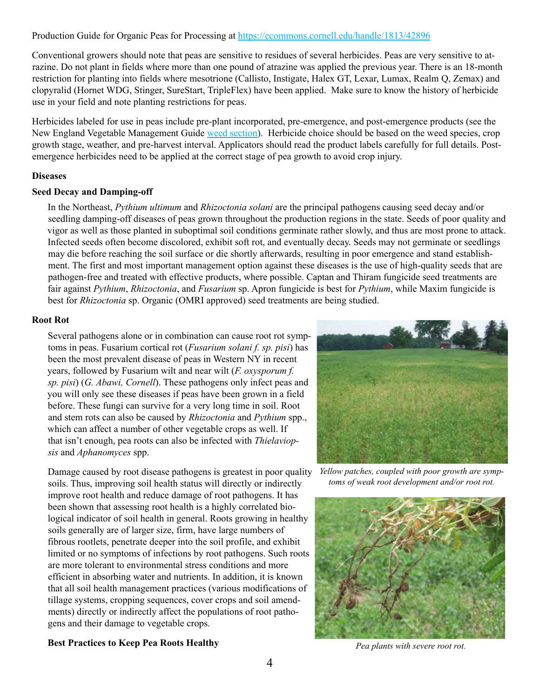Production Guide for Organic Peas for Processing at <https://ecommons.cornell.edu/handle/1813/42896>

Conventional growers should note that peas are sensitive to residues of several herbicides. Peas are very sensitive to atrazine. Do not plant in fields where more than one pound of atrazine was applied the previous year. There is an 18-month restriction for planting into fields where mesotrione (Callisto, Instigate, Halex GT, Lexar, Lumax, Realm Q, Zemax) and clopyralid (Hornet WDG, Stinger, SureStart, TripleFlex) have been applied. Make sure to know the history of herbicide use in your field and note planting restrictions for peas.

Herbicides labeled for use in peas include pre-plant incorporated, pre-emergence, and post-emergence products (see the New England Vegetable Management Guide [weed section\)](https://nevegetable.org/crops/weed-control-16). Herbicide choice should be based on the weed species, crop growth stage, weather, and pre-harvest interval. Applicators should read the product labels carefully for full details. Postemergence herbicides need to be applied at the correct stage of pea growth to avoid crop injury.

### **Diseases**

### **Seed Decay and Damping-off**

In the Northeast, *Pythium ultimum* and *Rhizoctonia solani* are the principal pathogens causing seed decay and/or seedling damping-off diseases of peas grown throughout the production regions in the state. Seeds of poor quality and vigor as well as those planted in suboptimal soil conditions germinate rather slowly, and thus are most prone to attack. Infected seeds often become discolored, exhibit soft rot, and eventually decay. Seeds may not germinate or seedlings may die before reaching the soil surface or die shortly afterwards, resulting in poor emergence and stand establishment. The first and most important management option against these diseases is the use of high-quality seeds that are pathogen-free and treated with effective products, where possible. Captan and Thiram fungicide seed treatments are fair against *Pythium*, *Rhizoctonia*, and *Fusarium* sp. Apron fungicide is best for *Pythium*, while Maxim fungicide is best for *Rhizoctonia* sp. Organic (OMRI approved) seed treatments are being studied.

### **Root Rot**

Several pathogens alone or in combination can cause root rot symptoms in peas. Fusarium cortical rot (*Fusarium solani f. sp. pisi*) has been the most prevalent disease of peas in Western NY in recent years, followed by Fusarium wilt and near wilt (*F. oxysporum f. sp. pisi*) (*G. Abawi, Cornell*). These pathogens only infect peas and you will only see these diseases if peas have been grown in a field before. These fungi can survive for a very long time in soil. Root and stem rots can also be caused by *Rhizoctonia* and *Pythium* spp., which can affect a number of other vegetable crops as well. If that isn't enough, pea roots can also be infected with *Thielaviopsis* and *Aphanomyces* spp.

Damage caused by root disease pathogens is greatest in poor quality soils. Thus, improving soil health status will directly or indirectly improve root health and reduce damage of root pathogens. It has been shown that assessing root health is a highly correlated biological indicator of soil health in general. Roots growing in healthy soils generally are of larger size, firm, have large numbers of fibrous rootlets, penetrate deeper into the soil profile, and exhibit limited or no symptoms of infections by root pathogens. Such roots are more tolerant to environmental stress conditions and more efficient in absorbing water and nutrients. In addition, it is known that all soil health management practices (various modifications of tillage systems, cropping sequences, cover crops and soil amendments) directly or indirectly affect the populations of root pathogens and their damage to vegetable crops.



*Yellow patches, coupled with poor growth are symptoms of weak root development and/or root rot.*



*Pea plants with severe root rot.*

### **Best Practices to Keep Pea Roots Healthy**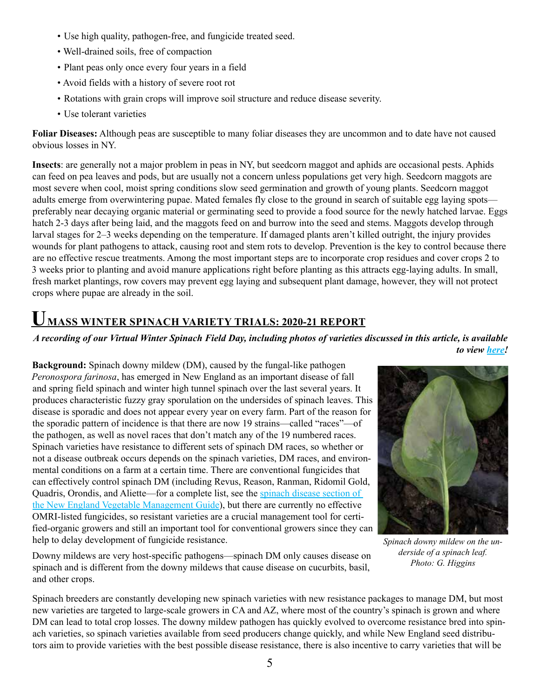- Use high quality, pathogen-free, and fungicide treated seed.
- Well-drained soils, free of compaction
- Plant peas only once every four years in a field
- Avoid fields with a history of severe root rot
- Rotations with grain crops will improve soil structure and reduce disease severity.
- Use tolerant varieties

**Foliar Diseases:** Although peas are susceptible to many foliar diseases they are uncommon and to date have not caused obvious losses in NY.

**Insects**: are generally not a major problem in peas in NY, but seedcorn maggot and aphids are occasional pests. Aphids can feed on pea leaves and pods, but are usually not a concern unless populations get very high. Seedcorn maggots are most severe when cool, moist spring conditions slow seed germination and growth of young plants. Seedcorn maggot adults emerge from overwintering pupae. Mated females fly close to the ground in search of suitable egg laying spots preferably near decaying organic material or germinating seed to provide a food source for the newly hatched larvae. Eggs hatch 2-3 days after being laid, and the maggots feed on and burrow into the seed and stems. Maggots develop through larval stages for 2–3 weeks depending on the temperature. If damaged plants aren't killed outright, the injury provides wounds for plant pathogens to attack, causing root and stem rots to develop. Prevention is the key to control because there are no effective rescue treatments. Among the most important steps are to incorporate crop residues and cover crops 2 to 3 weeks prior to planting and avoid manure applications right before planting as this attracts egg-laying adults. In small, fresh market plantings, row covers may prevent egg laying and subsequent plant damage, however, they will not protect crops where pupae are already in the soil.

## **UMASS WINTER SPINACH VARIETY TRIALS: 2020-21 REPORT**

### *A recording of our Virtual Winter Spinach Field Day, including photos of varieties discussed in this article, is available to view [here](https://www.youtube.com/watch?v=IDtJO8lKiCg&list=PLW8rjcphj11Y7veLKCAV3IMF8-ebG_Oib&index=2)!*

**Background:** Spinach downy mildew (DM), caused by the fungal-like pathogen *Peronospora farinosa*, has emerged in New England as an important disease of fall and spring field spinach and winter high tunnel spinach over the last several years. It produces characteristic fuzzy gray sporulation on the undersides of spinach leaves. This disease is sporadic and does not appear every year on every farm. Part of the reason for the sporadic pattern of incidence is that there are now 19 strains—called "races"—of the pathogen, as well as novel races that don't match any of the 19 numbered races. Spinach varieties have resistance to different sets of spinach DM races, so whether or not a disease outbreak occurs depends on the spinach varieties, DM races, and environmental conditions on a farm at a certain time. There are conventional fungicides that can effectively control spinach DM (including Revus, Reason, Ranman, Ridomil Gold, Quadris, Orondis, and Aliette—for a complete list, see the [spinach disease section of](https://nevegetable.org/crops/disease-control-21)  [the New England Vegetable Management Guide\)](https://nevegetable.org/crops/disease-control-21), but there are currently no effective OMRI-listed fungicides, so resistant varieties are a crucial management tool for certified-organic growers and still an important tool for conventional growers since they can help to delay development of fungicide resistance.

Downy mildews are very host-specific pathogens—spinach DM only causes disease on spinach and is different from the downy mildews that cause disease on cucurbits, basil, and other crops.



*Spinach downy mildew on the underside of a spinach leaf. Photo: G. Higgins*

Spinach breeders are constantly developing new spinach varieties with new resistance packages to manage DM, but most new varieties are targeted to large-scale growers in CA and AZ, where most of the country's spinach is grown and where DM can lead to total crop losses. The downy mildew pathogen has quickly evolved to overcome resistance bred into spinach varieties, so spinach varieties available from seed producers change quickly, and while New England seed distributors aim to provide varieties with the best possible disease resistance, there is also incentive to carry varieties that will be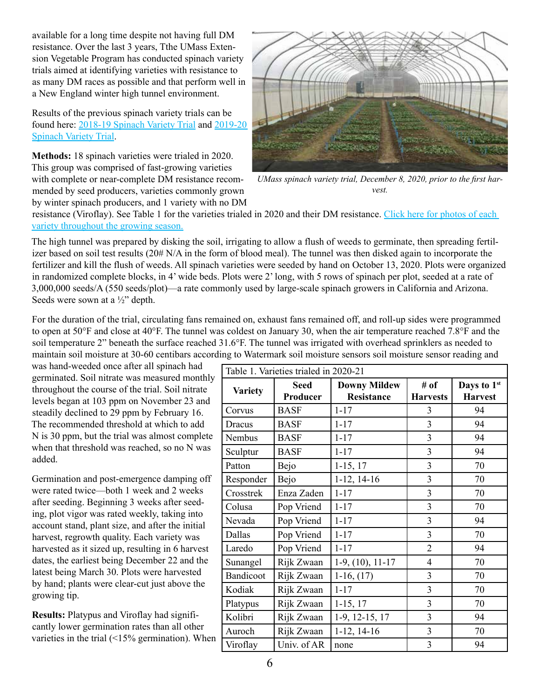available for a long time despite not having full DM resistance. Over the last 3 years, Tthe UMass Extension Vegetable Program has conducted spinach variety trials aimed at identifying varieties with resistance to as many DM races as possible and that perform well in a New England winter high tunnel environment.

Results of the previous spinach variety trials can be found here: [2018-19 Spinach Variety Trial](https://ag.umass.edu/sites/ag.umass.edu/files/reports/2018-19_spinach_report_0.pdf) and [2019-20](https://ag.umass.edu/sites/ag.umass.edu/files/reports/2019-20_spinach_report_0.pdf)  [Spinach Variety Trial.](https://ag.umass.edu/sites/ag.umass.edu/files/reports/2019-20_spinach_report_0.pdf)

**Methods:** 18 spinach varieties were trialed in 2020. This group was comprised of fast-growing varieties with complete or near-complete DM resistance recommended by seed producers, varieties commonly grown by winter spinach producers, and 1 variety with no DM



*UMass spinach variety trial, December 8, 2020, prior to the first harvest.*

resistance (Viroflay). See Table 1 for the varieties trialed in 2020 and their DM resistance. [Click here for photos of each](https://ag.umass.edu/sites/ag.umass.edu/files/reports/2020_variety_photos.pdf)  [variety throughout the growing season.](https://ag.umass.edu/sites/ag.umass.edu/files/reports/2020_variety_photos.pdf)

The high tunnel was prepared by disking the soil, irrigating to allow a flush of weeds to germinate, then spreading fertilizer based on soil test results  $(20# N/A)$  in the form of blood meal). The tunnel was then disked again to incorporate the fertilizer and kill the flush of weeds. All spinach varieties were seeded by hand on October 13, 2020. Plots were organized in randomized complete blocks, in 4' wide beds. Plots were 2' long, with 5 rows of spinach per plot, seeded at a rate of 3,000,000 seeds/A (550 seeds/plot)—a rate commonly used by large-scale spinach growers in California and Arizona. Seeds were sown at a ½" depth.

For the duration of the trial, circulating fans remained on, exhaust fans remained off, and roll-up sides were programmed to open at 50°F and close at 40°F. The tunnel was coldest on January 30, when the air temperature reached 7.8°F and the soil temperature 2" beneath the surface reached 31.6°F. The tunnel was irrigated with overhead sprinklers as needed to maintain soil moisture at 30-60 centibars according to Watermark soil moisture sensors soil moisture sensor reading and

was hand-weeded once after all spinach had germinated. Soil nitrate was measured monthly throughout the course of the trial. Soil nitrate levels began at 103 ppm on November 23 and steadily declined to 29 ppm by February 16. The recommended threshold at which to add N is 30 ppm, but the trial was almost complete when that threshold was reached, so no N was added.

Germination and post-emergence damping off were rated twice—both 1 week and 2 weeks after seeding. Beginning 3 weeks after seeding, plot vigor was rated weekly, taking into account stand, plant size, and after the initial harvest, regrowth quality. Each variety was harvested as it sized up, resulting in 6 harvest dates, the earliest being December 22 and the latest being March 30. Plots were harvested by hand; plants were clear-cut just above the growing tip.

**Results:** Platypus and Viroflay had significantly lower germination rates than all other varieties in the trial  $($  <15% germination). When

| Table 1. Varieties trialed in 2020-21 |                         |                                          |                         |                                           |
|---------------------------------------|-------------------------|------------------------------------------|-------------------------|-------------------------------------------|
| <b>Variety</b>                        | <b>Seed</b><br>Producer | <b>Downy Mildew</b><br><b>Resistance</b> | # of<br><b>Harvests</b> | Days to 1 <sup>st</sup><br><b>Harvest</b> |
| Corvus                                | <b>BASF</b>             | $1 - 17$                                 | 3                       | 94                                        |
| Dracus                                | <b>BASF</b>             | $1 - 17$                                 | 3                       | 94                                        |
| Nembus                                | <b>BASF</b>             | $1 - 17$                                 | $\overline{3}$          | 94                                        |
| Sculptur                              | <b>BASF</b>             | $1 - 17$                                 | 3                       | 94                                        |
| Patton                                | Bejo                    | $1-15, 17$                               | 3                       | 70                                        |
| Responder                             | Bejo                    | $1-12, 14-16$                            | $\overline{3}$          | 70                                        |
| Crosstrek                             | Enza Zaden              | $1 - 17$                                 | 3                       | 70                                        |
| Colusa                                | Pop Vriend              | $1 - 17$                                 | 3                       | 70                                        |
| Nevada                                | Pop Vriend              | $1 - 17$                                 | 3                       | 94                                        |
| Dallas                                | Pop Vriend              | $1 - 17$                                 | 3                       | 70                                        |
| Laredo                                | Pop Vriend              | $1 - 17$                                 | $\overline{2}$          | 94                                        |
| Sunangel                              | Rijk Zwaan              | $1-9, (10), 11-17$                       | 4                       | 70                                        |
| Bandicoot                             | Rijk Zwaan              | $1-16, (17)$                             | 3                       | 70                                        |
| Kodiak                                | Rijk Zwaan              | $1 - 17$                                 | 3                       | 70                                        |
| Platypus                              | Rijk Zwaan              | $1-15, 17$                               | 3                       | 70                                        |
| Kolibri                               | Rijk Zwaan              | 1-9, 12-15, 17                           | 3                       | 94                                        |
| Auroch                                | Rijk Zwaan              | $1-12, 14-16$                            | 3                       | 70                                        |
| Viroflay                              | Univ. of AR             | none                                     | 3                       | 94                                        |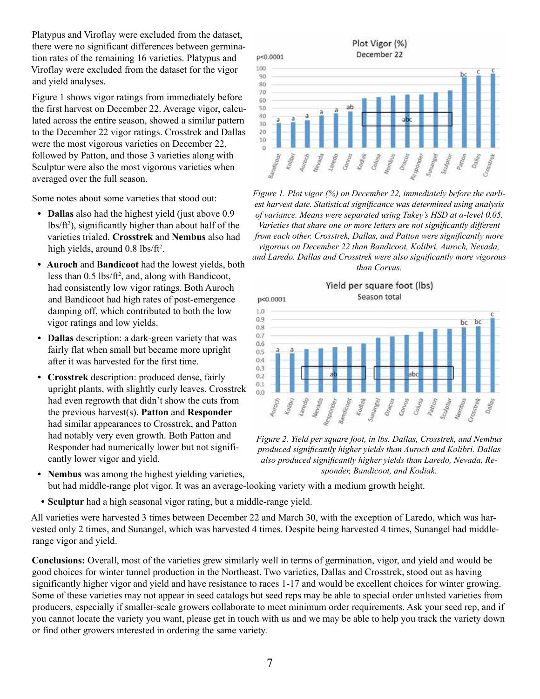Platypus and Viroflay were excluded from the dataset, there were no significant differences between germination rates of the remaining 16 varieties. Platypus and Viroflay were excluded from the dataset for the vigor and yield analyses.

Figure 1 shows vigor ratings from immediately before the first harvest on December 22. Average vigor, calculated across the entire season, showed a similar pattern to the December 22 vigor ratings. Crosstrek and Dallas were the most vigorous varieties on December 22, followed by Patton, and those 3 varieties along with Sculptur were also the most vigorous varieties when averaged over the full season.

Some notes about some varieties that stood out:

- **• Dallas** also had the highest yield (just above 0.9  $lbs/ft<sup>2</sup>$ ), significantly higher than about half of the varieties trialed. **Crosstrek** and **Nembus** also had high yields, around 0.8 lbs/ft<sup>2</sup>.
- **• Auroch** and **Bandicoot** had the lowest yields, both less than 0.5 lbs/ft<sup>2</sup>, and, along with Bandicoot, had consistently low vigor ratings. Both Auroch and Bandicoot had high rates of post-emergence damping off, which contributed to both the low vigor ratings and low yields.
- **• Dallas** description: a dark-green variety that was fairly flat when small but became more upright after it was harvested for the first time.
- **• Crosstrek** description: produced dense, fairly upright plants, with slightly curly leaves. Crosstrek had even regrowth that didn't show the cuts from the previous harvest(s). **Patton** and **Responder** had similar appearances to Crosstrek, and Patton had notably very even growth. Both Patton and Responder had numerically lower but not significantly lower vigor and yield.

Plot Vigor (%) December 22 p<0.0001 100 90 80 70 60 äb 50 40 30 20 10  $\Omega$  $\mathcal{O}_{\partial/\!\!\!\partial_{\mathcal{E}_S}}$ Auroch Lareato Convas Nevada Kodiau  $C_{O/f_{\rm O}}$ Sculpture Vermax Draw Spons unang

*Figure 1. Plot vigor (%) on December 22, immediately before the earliest harvest date. Statistical significance was determined using analysis of variance. Means were separated using Tukey's HSD at α-level 0.05.* 

*Varieties that share one or more letters are not significantly different from each other. Crosstrek, Dallas, and Patton were significantly more vigorous on December 22 than Bandicoot, Kolibri, Auroch, Nevada, and Laredo. Dallas and Crosstrek were also significantly more vigorous than Corvus.*



*Figure 2. Yield per square foot, in lbs. Dallas, Crosstrek, and Nembus produced significantly higher yields than Auroch and Kolibri. Dallas also produced significantly higher yields than Laredo, Nevada, Responder, Bandicoot, and Kodiak.*

- **• Nembus** was among the highest yielding varieties, but had middle-range plot vigor. It was an average-looking variety with a medium growth height.
- **• Sculptur** had a high seasonal vigor rating, but a middle-range yield.

All varieties were harvested 3 times between December 22 and March 30, with the exception of Laredo, which was harvested only 2 times, and Sunangel, which was harvested 4 times. Despite being harvested 4 times, Sunangel had middlerange vigor and yield.

**Conclusions:** Overall, most of the varieties grew similarly well in terms of germination, vigor, and yield and would be good choices for winter tunnel production in the Northeast. Two varieties, Dallas and Crosstrek, stood out as having significantly higher vigor and yield and have resistance to races 1-17 and would be excellent choices for winter growing. Some of these varieties may not appear in seed catalogs but seed reps may be able to special order unlisted varieties from producers, especially if smaller-scale growers collaborate to meet minimum order requirements. Ask your seed rep, and if you cannot locate the variety you want, please get in touch with us and we may be able to help you track the variety down or find other growers interested in ordering the same variety.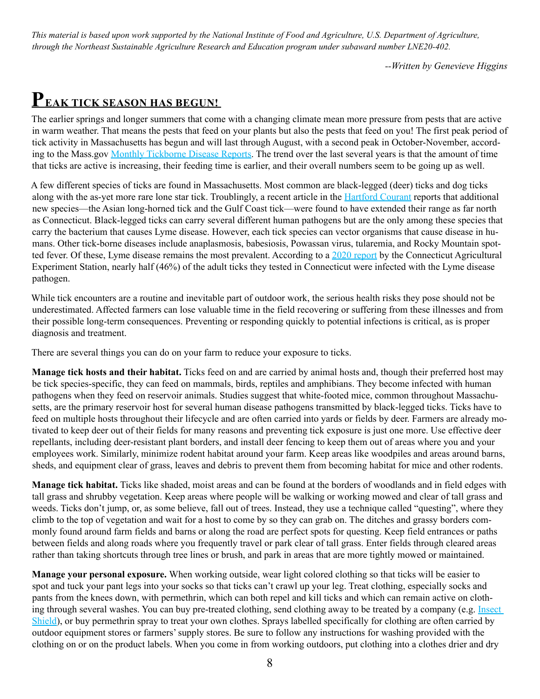*This material is based upon work supported by the National Institute of Food and Agriculture, U.S. Department of Agriculture, through the Northeast Sustainable Agriculture Research and Education program under subaward number LNE20-402.*

*--Written by Genevieve Higgins*

# **PEAK TICK SEASON HAS BEGUN!**

The earlier springs and longer summers that come with a changing climate mean more pressure from pests that are active in warm weather. That means the pests that feed on your plants but also the pests that feed on you! The first peak period of tick activity in Massachusetts has begun and will last through August, with a second peak in October-November, according to the Mass.gov [Monthly Tickborne Disease Reports](https://www.mass.gov/lists/monthly-tickborne-disease-reports). The trend over the last several years is that the amount of time that ticks are active is increasing, their feeding time is earlier, and their overall numbers seem to be going up as well.

A few different species of ticks are found in Massachusetts. Most common are black-legged (deer) ticks and dog ticks along with the as-yet more rare lone star tick. Troublingly, a recent article in the **Hartford Courant** reports that additional new species—the Asian long-horned tick and the Gulf Coast tick—were found to have extended their range as far north as Connecticut. Black-legged ticks can carry several different human pathogens but are the only among these species that carry the bacterium that causes Lyme disease. However, each tick species can vector organisms that cause disease in humans. Other tick-borne diseases include anaplasmosis, babesiosis, Powassan virus, tularemia, and Rocky Mountain spotted fever. Of these, Lyme disease remains the most prevalent. According to a [2020 report](https://portal.ct.gov/-/media/CAES/DOCUMENTS/Publications/Press_Releases/2020/CAES-Press-Release-Active-Tick-February-20-2020.pdf) by the Connecticut Agricultural Experiment Station, nearly half (46%) of the adult ticks they tested in Connecticut were infected with the Lyme disease pathogen.

While tick encounters are a routine and inevitable part of outdoor work, the serious health risks they pose should not be underestimated. Affected farmers can lose valuable time in the field recovering or suffering from these illnesses and from their possible long-term consequences. Preventing or responding quickly to potential infections is critical, as is proper diagnosis and treatment.

There are several things you can do on your farm to reduce your exposure to ticks.

**Manage tick hosts and their habitat.** Ticks feed on and are carried by animal hosts and, though their preferred host may be tick species-specific, they can feed on mammals, birds, reptiles and amphibians. They become infected with human pathogens when they feed on reservoir animals. Studies suggest that white-footed mice, common throughout Massachusetts, are the primary reservoir host for several human disease pathogens transmitted by black-legged ticks. Ticks have to feed on multiple hosts throughout their lifecycle and are often carried into yards or fields by deer. Farmers are already motivated to keep deer out of their fields for many reasons and preventing tick exposure is just one more. Use effective deer repellants, including deer-resistant plant borders, and install deer fencing to keep them out of areas where you and your employees work. Similarly, minimize rodent habitat around your farm. Keep areas like woodpiles and areas around barns, sheds, and equipment clear of grass, leaves and debris to prevent them from becoming habitat for mice and other rodents.

**Manage tick habitat.** Ticks like shaded, moist areas and can be found at the borders of woodlands and in field edges with tall grass and shrubby vegetation. Keep areas where people will be walking or working mowed and clear of tall grass and weeds. Ticks don't jump, or, as some believe, fall out of trees. Instead, they use a technique called "questing", where they climb to the top of vegetation and wait for a host to come by so they can grab on. The ditches and grassy borders commonly found around farm fields and barns or along the road are perfect spots for questing. Keep field entrances or paths between fields and along roads where you frequently travel or park clear of tall grass. Enter fields through cleared areas rather than taking shortcuts through tree lines or brush, and park in areas that are more tightly mowed or maintained.

**Manage your personal exposure.** When working outside, wear light colored clothing so that ticks will be easier to spot and tuck your pant legs into your socks so that ticks can't crawl up your leg. Treat clothing, especially socks and pants from the knees down, with permethrin, which can both repel and kill ticks and which can remain active on clothing through several washes. You can buy pre-treated clothing, send clothing away to be treated by a company (e.g. Insect [Shield](https://www.insectshield.com/)), or buy permethrin spray to treat your own clothes. Sprays labelled specifically for clothing are often carried by outdoor equipment stores or farmers' supply stores. Be sure to follow any instructions for washing provided with the clothing on or on the product labels. When you come in from working outdoors, put clothing into a clothes drier and dry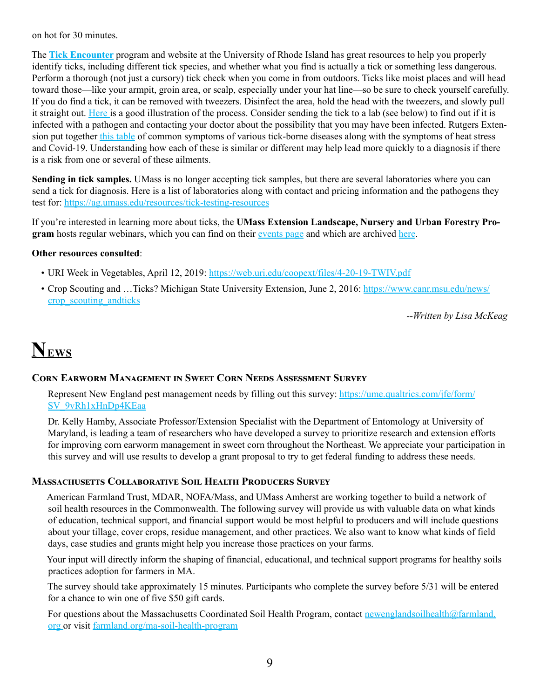on hot for 30 minutes.

The **[Tick Encounter](https://web.uri.edu/tickencounter/)** program and website at the University of Rhode Island has great resources to help you properly identify ticks, including different tick species, and whether what you find is actually a tick or something less dangerous. Perform a thorough (not just a cursory) tick check when you come in from outdoors. Ticks like moist places and will head toward those—like your armpit, groin area, or scalp, especially under your hat line—so be sure to check yourself carefully. If you do find a tick, it can be removed with tweezers. Disinfect the area, hold the head with the tweezers, and slowly pull it straight out. [Here i](https://web.uri.edu/tickencounter/how-to-remove-a-tick/)s a good illustration of the process. Consider sending the tick to a lab (see below) to find out if it is infected with a pathogen and contacting your doctor about the possibility that you may have been infected. Rutgers Extension put together [this table](https://plant-pest-advisory.rutgers.edu/dont-let-your-guard-down-on-farm-worker-health-2/) of common symptoms of various tick-borne diseases along with the symptoms of heat stress and Covid-19. Understanding how each of these is similar or different may help lead more quickly to a diagnosis if there is a risk from one or several of these ailments.

**Sending in tick samples.** UMass is no longer accepting tick samples, but there are several laboratories where you can send a tick for diagnosis. Here is a list of laboratories along with contact and pricing information and the pathogens they test for:<https://ag.umass.edu/resources/tick-testing-resources>

If you're interested in learning more about ticks, the **UMass Extension Landscape, Nursery and Urban Forestry Program** hosts regular webinars, which you can find on their [events page](https://ag.umass.edu/landscape/upcoming-events) and which are archived [here](https://ag.umass.edu/landscape/education-events/ticktalk-with-tickreport-webinars).

### **Other resources consulted**:

- URI Week in Vegetables, April 12, 2019:<https://web.uri.edu/coopext/files/4-20-19-TWIV.pdf>
- Crop Scouting and …Ticks? Michigan State University Extension, June 2, 2016: [https://www.canr.msu.edu/news/](https://www.canr.msu.edu/news/crop_scouting_andticks) [crop\\_scouting\\_andticks](https://www.canr.msu.edu/news/crop_scouting_andticks)

*--Written by Lisa McKeag*

# **NEWS**

### **Corn Earworm Management in Sweet Corn Needs Assessment Survey**

Represent New England pest management needs by filling out this survey: [https://ume.qualtrics.com/jfe/form/](https://ume.qualtrics.com/jfe/form/SV_9vRh1xHnDp4KEaa) [SV\\_9vRh1xHnDp4KEaa](https://ume.qualtrics.com/jfe/form/SV_9vRh1xHnDp4KEaa)

Dr. Kelly Hamby, Associate Professor/Extension Specialist with the Department of Entomology at University of Maryland, is leading a team of researchers who have developed a survey to prioritize research and extension efforts for improving corn earworm management in sweet corn throughout the Northeast. We appreciate your participation in this survey and will use results to develop a grant proposal to try to get federal funding to address these needs.

### **Massachusetts Collaborative Soil Health Producers Survey**

American Farmland Trust, MDAR, NOFA/Mass, and UMass Amherst are working together to build a network of soil health resources in the Commonwealth. The following survey will provide us with valuable data on what kinds of education, technical support, and financial support would be most helpful to producers and will include questions about your tillage, cover crops, residue management, and other practices. We also want to know what kinds of field days, case studies and grants might help you increase those practices on your farms.

Your input will directly inform the shaping of financial, educational, and technical support programs for healthy soils practices adoption for farmers in MA.

The survey should take approximately 15 minutes. Participants who complete the survey before 5/31 will be entered for a chance to win one of five \$50 gift cards.

For questions about the Massachusetts Coordinated Soil Health Program, contact [newenglandsoilhealth@farmland.](mailto:newenglandsoilhealth%40farmland.org%20?subject=) [org o](mailto:newenglandsoilhealth%40farmland.org%20?subject=)r visit [farmland.org/ma-soil-health-program](http://farmland.org/ma-soil-health-program  )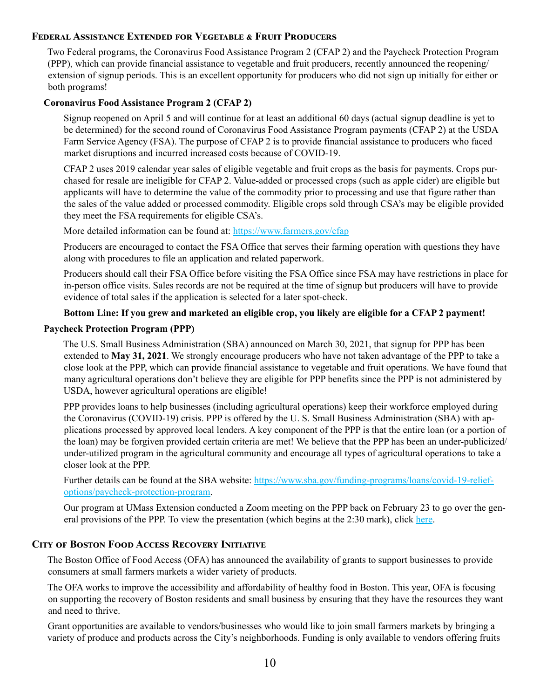### **Federal Assistance Extended for Vegetable & Fruit Producers**

Two Federal programs, the Coronavirus Food Assistance Program 2 (CFAP 2) and the Paycheck Protection Program (PPP), which can provide financial assistance to vegetable and fruit producers, recently announced the reopening/ extension of signup periods. This is an excellent opportunity for producers who did not sign up initially for either or both programs!

### **Coronavirus Food Assistance Program 2 (CFAP 2)**

Signup reopened on April 5 and will continue for at least an additional 60 days (actual signup deadline is yet to be determined) for the second round of Coronavirus Food Assistance Program payments (CFAP 2) at the USDA Farm Service Agency (FSA). The purpose of CFAP 2 is to provide financial assistance to producers who faced market disruptions and incurred increased costs because of COVID-19.

CFAP 2 uses 2019 calendar year sales of eligible vegetable and fruit crops as the basis for payments. Crops purchased for resale are ineligible for CFAP 2. Value-added or processed crops (such as apple cider) are eligible but applicants will have to determine the value of the commodity prior to processing and use that figure rather than the sales of the value added or processed commodity. Eligible crops sold through CSA's may be eligible provided they meet the FSA requirements for eligible CSA's.

More detailed information can be found at:<https://www.farmers.gov/cfap>

Producers are encouraged to contact the FSA Office that serves their farming operation with questions they have along with procedures to file an application and related paperwork.

Producers should call their FSA Office before visiting the FSA Office since FSA may have restrictions in place for in-person office visits. Sales records are not be required at the time of signup but producers will have to provide evidence of total sales if the application is selected for a later spot-check.

### **Bottom Line: If you grew and marketed an eligible crop, you likely are eligible for a CFAP 2 payment!**

#### **Paycheck Protection Program (PPP)**

The U.S. Small Business Administration (SBA) announced on March 30, 2021, that signup for PPP has been extended to **May 31, 2021**. We strongly encourage producers who have not taken advantage of the PPP to take a close look at the PPP, which can provide financial assistance to vegetable and fruit operations. We have found that many agricultural operations don't believe they are eligible for PPP benefits since the PPP is not administered by USDA, however agricultural operations are eligible!

PPP provides loans to help businesses (including agricultural operations) keep their workforce employed during the Coronavirus (COVID-19) crisis. PPP is offered by the U. S. Small Business Administration (SBA) with applications processed by approved local lenders. A key component of the PPP is that the entire loan (or a portion of the loan) may be forgiven provided certain criteria are met! We believe that the PPP has been an under-publicized/ under-utilized program in the agricultural community and encourage all types of agricultural operations to take a closer look at the PPP.

Further details can be found at the SBA website: [https://www.sba.gov/funding-programs/loans/covid-19-relief](https://www.sba.gov/funding-programs/loans/covid-19-relief-options/paycheck-protection-program)[options/paycheck-protection-program.](https://www.sba.gov/funding-programs/loans/covid-19-relief-options/paycheck-protection-program)

Our program at UMass Extension conducted a Zoom meeting on the PPP back on February 23 to go over the general provisions of the PPP. To view the presentation (which begins at the 2:30 mark), click [here.](https://umass-amherst.zoom.us/rec/play/mvLGL06_St9ir76fabgOj8jw4_oCLpt51D7bgAgXqcDpjQP4nRtB2RB-_l_FupJPO_T_7E_pUlrztl3E.K4JyTQOIiC1dZ1FJ?continueMode=true&_x_zm_rtaid=rhKldn_JS6yW9NKskHde_w.1617200709007.89ee8a00b9dad416df066c3bf9653d2a&_x_zm_rhtaid=520)

### **City of Boston Food Access Recovery Initiative**

The Boston Office of Food Access (OFA) has announced the availability of grants to support businesses to provide consumers at small farmers markets a wider variety of products.

The OFA works to improve the accessibility and affordability of healthy food in Boston. This year, OFA is focusing on supporting the recovery of Boston residents and small business by ensuring that they have the resources they want and need to thrive.

Grant opportunities are available to vendors/businesses who would like to join small farmers markets by bringing a variety of produce and products across the City's neighborhoods. Funding is only available to vendors offering fruits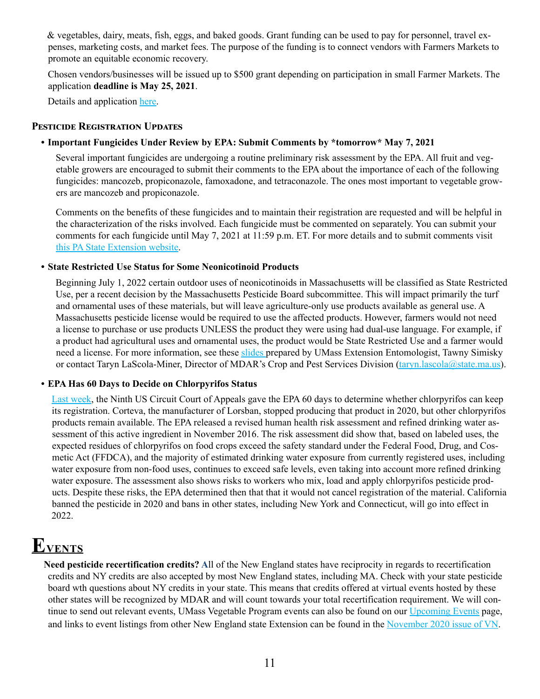& vegetables, dairy, meats, fish, eggs, and baked goods. Grant funding can be used to pay for personnel, travel expenses, marketing costs, and market fees. The purpose of the funding is to connect vendors with Farmers Markets to promote an equitable economic recovery.

Chosen vendors/businesses will be issued up to \$500 grant depending on participation in small Farmer Markets. The application **deadline is May 25, 2021**.

Details and application [here](https://www.boston.gov/departments/food-access/food-access-recovery-effort-initiative).

### **Pesticide Registration Updates**

### **• Important Fungicides Under Review by EPA: Submit Comments by \*tomorrow\* May 7, 2021**

Several important fungicides are undergoing a routine preliminary risk assessment by the EPA. All fruit and vegetable growers are encouraged to submit their comments to the EPA about the importance of each of the following fungicides: mancozeb, propiconazole, famoxadone, and tetraconazole. The ones most important to vegetable growers are mancozeb and propiconazole.

Comments on the benefits of these fungicides and to maintain their registration are requested and will be helpful in the characterization of the risks involved. Each fungicide must be commented on separately. You can submit your comments for each fungicide until May 7, 2021 at 11:59 p.m. ET. For more details and to submit comments visit [this PA State Extension website](https://extension.psu.edu/important-fungicides-under-review-by-epa-submit-comments-by-may-7-2021?j=598830&sfmc_sub=43262800&l=159_HTML&u=13694386&mid=7234940&jb=5&utm_medium=email&utm_source=MarketingCloud&utm_campaign=VPSY_2021_MAY_03_EM_AT&utm_content=VPSY_2021_MAY_03_EM_AT&subscriberkey=0030W00003VICGlQAP).

### **• State Restricted Use Status for Some Neonicotinoid Products**

Beginning July 1, 2022 certain outdoor uses of neonicotinoids in Massachusetts will be classified as State Restricted Use, per a recent decision by the Massachusetts Pesticide Board subcommittee. This will impact primarily the turf and ornamental uses of these materials, but will leave agriculture-only use products available as general use. A Massachusetts pesticide license would be required to use the affected products. However, farmers would not need a license to purchase or use products UNLESS the product they were using had dual-use language. For example, if a product had agricultural uses and ornamental uses, the product would be State Restricted Use and a farmer would need a license. For more information, see these [slides p](https://umass-my.sharepoint.com/:p:/g/personal/tsimisky_umass_edu/ESVs0SFoo9FEn5wirjvkbbsBEP5viFhP-wjfMPgraOwfmw?e=0Bpbyb)repared by UMass Extension Entomologist, Tawny Simisky or contact Taryn LaScola-Miner, Director of MDAR's Crop and Pest Services Division ([taryn.lascola@state.ma.us\)](mailto:taryn.lascola@state.ma.us).

### **• EPA Has 60 Days to Decide on Chlorpyrifos Status**

[Last week,](https://today.westlaw.com/Document/If1337110a94511eb8cc199f340c159d1/View/FullText.html?transitionType=SearchItem&contextData=(sc.Default)) the Ninth US Circuit Court of Appeals gave the EPA 60 days to determine whether chlorpyrifos can keep its registration. Corteva, the manufacturer of Lorsban, stopped producing that product in 2020, but other chlorpyrifos products remain available. The EPA released a revised human health risk assessment and refined drinking water assessment of this active ingredient in November 2016. The risk assessment did show that, based on labeled uses, the expected residues of chlorpyrifos on food crops exceed the safety standard under the Federal Food, Drug, and Cosmetic Act (FFDCA), and the majority of estimated drinking water exposure from currently registered uses, including water exposure from non-food uses, continues to exceed safe levels, even taking into account more refined drinking water exposure. The assessment also shows risks to workers who mix, load and apply chlorpyrifos pesticide products. Despite these risks, the EPA determined then that that it would not cancel registration of the material. California banned the pesticide in 2020 and bans in other states, including New York and Connecticut, will go into effect in 2022.

# **EVENTS**

**Need pesticide recertification credits? A**ll of the New England states have reciprocity in regards to recertification credits and NY credits are also accepted by most New England states, including MA. Check with your state pesticide board wth questions about NY credits in your state. This means that credits offered at virtual events hosted by these other states will be recognized by MDAR and will count towards your total recertification requirement. We will con-tinue to send out relevant events, UMass Vegetable Program events can also be found on our [Upcoming Events](https://ag.umass.edu/vegetable/upcoming-events) page, and links to event listings from other New England state Extension can be found in the [November 2020 issue of V](https://ag.umass.edu/sites/ag.umass.edu/files/newsletters/november_19_2020_vegetable_notes.pdf)N.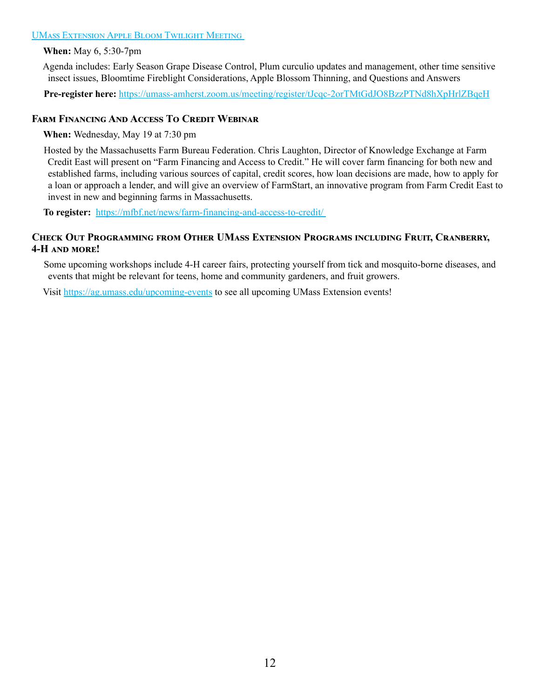#### [UMass Extension Apple Bloom Twilight Meeting](http://UMass Extension Apple Bloom Twilight Meeting )

**When:** May 6, 5:30-7pm

Agenda includes: Early Season Grape Disease Control, Plum curculio updates and management, other time sensitive insect issues, Bloomtime Fireblight Considerations, Apple Blossom Thinning, and Questions and Answers

**Pre-register here:** <https://umass-amherst.zoom.us/meeting/register/tJcqc-2orTMtGdJO8BzzPTNd8hXpHrlZBqeH>

### **Farm Financing And Access To Credit Webinar**

**When:** Wednesday, May 19 at 7:30 pm

Hosted by the Massachusetts Farm Bureau Federation. Chris Laughton, Director of Knowledge Exchange at Farm Credit East will present on "Farm Financing and Access to Credit." He will cover farm financing for both new and established farms, including various sources of capital, credit scores, how loan decisions are made, how to apply for a loan or approach a lender, and will give an overview of FarmStart, an innovative program from Farm Credit East to invest in new and beginning farms in Massachusetts.

**To register:** [https://mfbf.net/news/farm-financing-and-access-to-credit/](https://mfbf.net/news/farm-financing-and-access-to-credit/ ) 

### **Check Out Programming from Other UMass Extension Programs including Fruit, Cranberry, 4-H and more!**

Some upcoming workshops include 4-H career fairs, protecting yourself from tick and mosquito-borne diseases, and events that might be relevant for teens, home and community gardeners, and fruit growers.

Visit<https://ag.umass.edu/upcoming-events>to see all upcoming UMass Extension events!